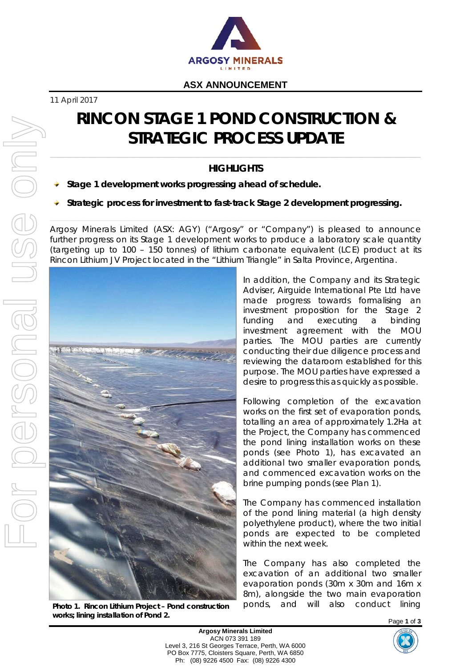

## **ASX ANNOUNCEMENT**

11 April 2017

# **RINCON STAGE 1 POND CONSTRUCTION & STRATEGIC PROCESS UPDATE**

## $\_$  . The contribution of the contribution of the contribution of the contribution of the contribution of the contribution of the contribution of the contribution of the contribution of the contribution of the contributio *HIGHLIGHTS*

- **Stage 1 development works progressing ahead of schedule.**
- **Strategic process for investment to fast-track Stage 2 development progressing.**

Argosy Minerals Limited (ASX: AGY) ("Argosy" or "Company") is pleased to announce further progress on its Stage 1 development works to produce a laboratory scale quantity (targeting up to 100 – 150 tonnes) of lithium carbonate equivalent (LCE) product at its Rincon Lithium JV Project located in the "Lithium Triangle" in Salta Province, Argentina.



**works; lining installation of Pond 2.**

In addition, the Company and its Strategic Adviser, Airguide International Pte Ltd have made progress towards formalising an investment proposition for the Stage 2 funding and executing a binding investment agreement with the MOU parties. The MOU parties are currently conducting their due diligence process and reviewing the dataroom established for this purpose. The MOU parties have expressed a desire to progress this as quickly as possible.

Following completion of the excavation works on the first set of evaporation ponds, totalling an area of approximately 1.2Ha at the Project, the Company has commenced the pond lining installation works on these ponds (see Photo 1), has excavated an additional two smaller evaporation ponds, and commenced excavation works on the brine pumping ponds (see Plan 1).

The Company has commenced installation of the pond lining material (a high density polyethylene product), where the two initial ponds are expected to be completed within the next week.

The Company has also completed the excavation of an additional two smaller evaporation ponds (30m x 30m and 16m x 8m), alongside the two main evaporation **Photo 1. Rincon Lithium Project – Pond construction** ponds, and will also conduct lining

Page **1** of **3**

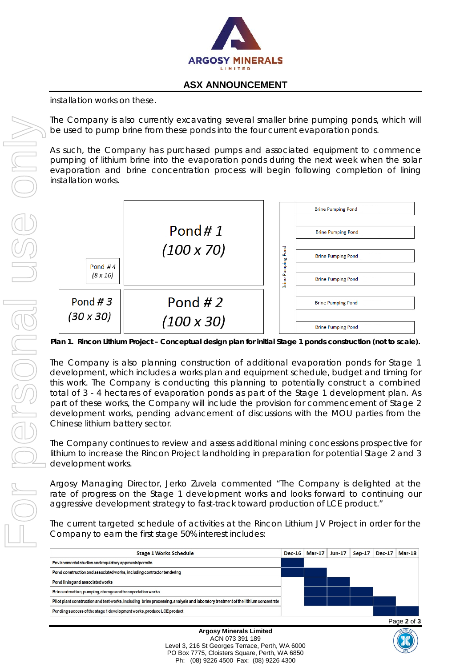

## **ASX ANNOUNCEMENT**

installation works on these.

The Company is also currently excavating several smaller brine pumping ponds, which will be used to pump brine from these ponds into the four current evaporation ponds.

As such, the Company has purchased pumps and associated equipment to commence pumping of lithium brine into the evaporation ponds during the next week when the solar evaporation and brine concentration process will begin following completion of lining installation works.



**Plan 1. Rincon Lithium Project – Conceptual design plan for initial Stage 1 ponds construction (not to scale).**

The Company is also planning construction of additional evaporation ponds for Stage 1 development, which includes a works plan and equipment schedule, budget and timing for this work. The Company is conducting this planning to potentially construct a combined total of 3 - 4 hectares of evaporation ponds as part of the Stage 1 development plan. As part of these works, the Company will include the provision for commencement of Stage 2 development works, pending advancement of discussions with the MOU parties from the Chinese lithium battery sector.

The Company continues to review and assess additional mining concessions prospective for lithium to increase the Rincon Project landholding in preparation for potential Stage 2 and 3 development works.

Argosy Managing Director, Jerko Zuvela commented "*The Company is delighted at the*  rate of progress on the Stage 1 development works and looks forward to continuing our *aggressive development strategy to fast-track toward production of LCE product."*

The current targeted schedule of activities at the Rincon Lithium JV Project in order for the

| <b>Stage 1 Works Schedule</b>                                                                                                     | $Dec-16$ | Mar-17 | <b>Jun-17</b> | $Sep-17$ | $Dec-17$ | Mar-18      |
|-----------------------------------------------------------------------------------------------------------------------------------|----------|--------|---------------|----------|----------|-------------|
| Environmental studies and regulatory approvals/permits                                                                            |          |        |               |          |          |             |
| Pond construction and associated works, including contractor tendering                                                            |          |        |               |          |          |             |
| Pond lining and associated works                                                                                                  |          |        |               |          |          |             |
| Brine extraction, pumping, storage and transportation works                                                                       |          |        |               |          |          |             |
| Pilot plant construction and test-works, including brine processing, analysis and laboratory treatment of the lithium concentrate |          |        |               |          |          |             |
| Pending success of the stage 1 development works, produce LCE product                                                             |          |        |               |          |          |             |
|                                                                                                                                   |          |        |               |          |          | Page 2 of 3 |